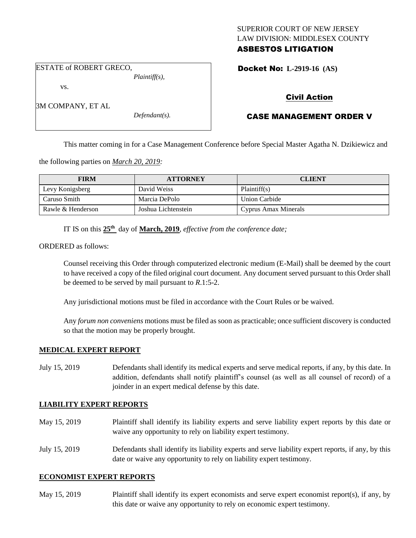## SUPERIOR COURT OF NEW JERSEY LAW DIVISION: MIDDLESEX COUNTY ASBESTOS LITIGATION

ESTATE of ROBERT GRECO,

*Plaintiff(s),*

Docket No: **L-2919-16 (AS)** 

vs.

3M COMPANY, ET AL

*Defendant(s).*

## Civil Action

# CASE MANAGEMENT ORDER V

This matter coming in for a Case Management Conference before Special Master Agatha N. Dzikiewicz and

the following parties on *March 20, 2019:*

| <b>FIRM</b>       | <b>ATTORNEY</b>     | <b>CLIENT</b>        |
|-------------------|---------------------|----------------------|
| Levy Konigsberg   | David Weiss         | Plaintiff(s)         |
| Caruso Smith      | Marcia DePolo       | <b>Union Carbide</b> |
| Rawle & Henderson | Joshua Lichtenstein | Cyprus Amax Minerals |

IT IS on this **25th** day of **March, 2019**, *effective from the conference date;*

ORDERED as follows:

Counsel receiving this Order through computerized electronic medium (E-Mail) shall be deemed by the court to have received a copy of the filed original court document. Any document served pursuant to this Order shall be deemed to be served by mail pursuant to *R*.1:5-2.

Any jurisdictional motions must be filed in accordance with the Court Rules or be waived.

Any *forum non conveniens* motions must be filed as soon as practicable; once sufficient discovery is conducted so that the motion may be properly brought.

#### **MEDICAL EXPERT REPORT**

July 15, 2019 Defendants shall identify its medical experts and serve medical reports, if any, by this date. In addition, defendants shall notify plaintiff's counsel (as well as all counsel of record) of a joinder in an expert medical defense by this date.

#### **LIABILITY EXPERT REPORTS**

- May 15, 2019 Plaintiff shall identify its liability experts and serve liability expert reports by this date or waive any opportunity to rely on liability expert testimony.
- July 15, 2019 Defendants shall identify its liability experts and serve liability expert reports, if any, by this date or waive any opportunity to rely on liability expert testimony.

#### **ECONOMIST EXPERT REPORTS**

May 15, 2019 Plaintiff shall identify its expert economists and serve expert economist report(s), if any, by this date or waive any opportunity to rely on economic expert testimony.